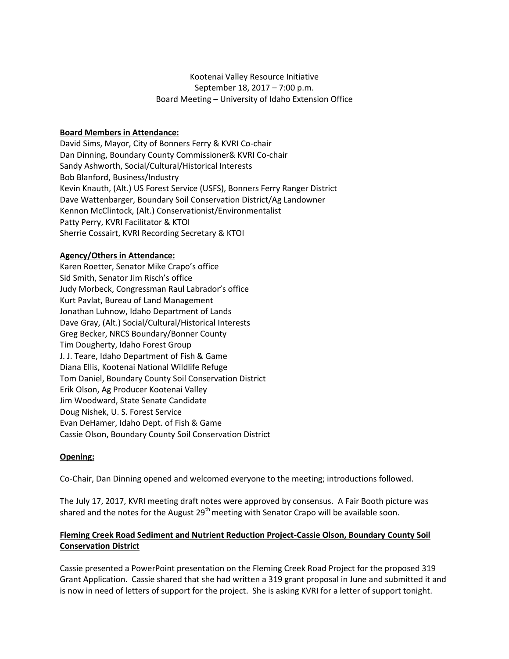# Kootenai Valley Resource Initiative September 18, 2017 – 7:00 p.m. Board Meeting – University of Idaho Extension Office

## **Board Members in Attendance:**

David Sims, Mayor, City of Bonners Ferry & KVRI Co-chair Dan Dinning, Boundary County Commissioner& KVRI Co-chair Sandy Ashworth, Social/Cultural/Historical Interests Bob Blanford, Business/Industry Kevin Knauth, (Alt.) US Forest Service (USFS), Bonners Ferry Ranger District Dave Wattenbarger, Boundary Soil Conservation District/Ag Landowner Kennon McClintock, (Alt.) Conservationist/Environmentalist Patty Perry, KVRI Facilitator & KTOI Sherrie Cossairt, KVRI Recording Secretary & KTOI

## **Agency/Others in Attendance:**

Karen Roetter, Senator Mike Crapo's office Sid Smith, Senator Jim Risch's office Judy Morbeck, Congressman Raul Labrador's office Kurt Pavlat, Bureau of Land Management Jonathan Luhnow, Idaho Department of Lands Dave Gray, (Alt.) Social/Cultural/Historical Interests Greg Becker, NRCS Boundary/Bonner County Tim Dougherty, Idaho Forest Group J. J. Teare, Idaho Department of Fish & Game Diana Ellis, Kootenai National Wildlife Refuge Tom Daniel, Boundary County Soil Conservation District Erik Olson, Ag Producer Kootenai Valley Jim Woodward, State Senate Candidate Doug Nishek, U. S. Forest Service Evan DeHamer, Idaho Dept. of Fish & Game Cassie Olson, Boundary County Soil Conservation District

# **Opening:**

Co-Chair, Dan Dinning opened and welcomed everyone to the meeting; introductions followed.

The July 17, 2017, KVRI meeting draft notes were approved by consensus. A Fair Booth picture was shared and the notes for the August  $29<sup>th</sup>$  meeting with Senator Crapo will be available soon.

# **Fleming Creek Road Sediment and Nutrient Reduction Project-Cassie Olson, Boundary County Soil Conservation District**

Cassie presented a PowerPoint presentation on the Fleming Creek Road Project for the proposed 319 Grant Application. Cassie shared that she had written a 319 grant proposal in June and submitted it and is now in need of letters of support for the project. She is asking KVRI for a letter of support tonight.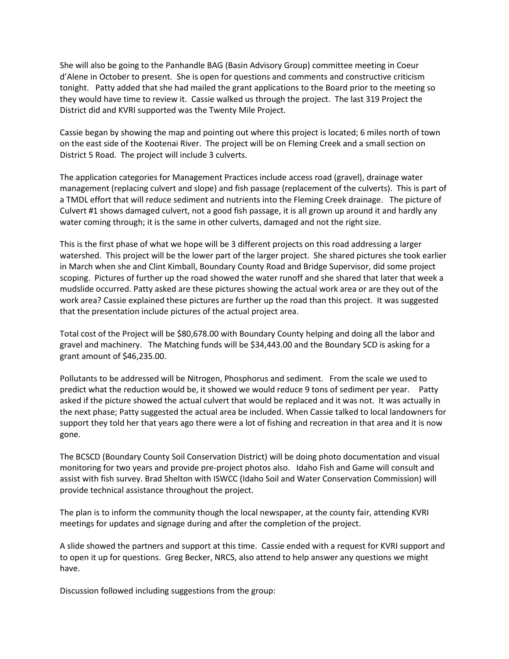She will also be going to the Panhandle BAG (Basin Advisory Group) committee meeting in Coeur d'Alene in October to present. She is open for questions and comments and constructive criticism tonight. Patty added that she had mailed the grant applications to the Board prior to the meeting so they would have time to review it. Cassie walked us through the project. The last 319 Project the District did and KVRI supported was the Twenty Mile Project.

Cassie began by showing the map and pointing out where this project is located; 6 miles north of town on the east side of the Kootenai River. The project will be on Fleming Creek and a small section on District 5 Road. The project will include 3 culverts.

The application categories for Management Practices include access road (gravel), drainage water management (replacing culvert and slope) and fish passage (replacement of the culverts). This is part of a TMDL effort that will reduce sediment and nutrients into the Fleming Creek drainage. The picture of Culvert #1 shows damaged culvert, not a good fish passage, it is all grown up around it and hardly any water coming through; it is the same in other culverts, damaged and not the right size.

This is the first phase of what we hope will be 3 different projects on this road addressing a larger watershed. This project will be the lower part of the larger project. She shared pictures she took earlier in March when she and Clint Kimball, Boundary County Road and Bridge Supervisor, did some project scoping. Pictures of further up the road showed the water runoff and she shared that later that week a mudslide occurred. Patty asked are these pictures showing the actual work area or are they out of the work area? Cassie explained these pictures are further up the road than this project. It was suggested that the presentation include pictures of the actual project area.

Total cost of the Project will be \$80,678.00 with Boundary County helping and doing all the labor and gravel and machinery. The Matching funds will be \$34,443.00 and the Boundary SCD is asking for a grant amount of \$46,235.00.

Pollutants to be addressed will be Nitrogen, Phosphorus and sediment. From the scale we used to predict what the reduction would be, it showed we would reduce 9 tons of sediment per year. Patty asked if the picture showed the actual culvert that would be replaced and it was not. It was actually in the next phase; Patty suggested the actual area be included. When Cassie talked to local landowners for support they told her that years ago there were a lot of fishing and recreation in that area and it is now gone.

The BCSCD (Boundary County Soil Conservation District) will be doing photo documentation and visual monitoring for two years and provide pre-project photos also. Idaho Fish and Game will consult and assist with fish survey. Brad Shelton with ISWCC (Idaho Soil and Water Conservation Commission) will provide technical assistance throughout the project.

The plan is to inform the community though the local newspaper, at the county fair, attending KVRI meetings for updates and signage during and after the completion of the project.

A slide showed the partners and support at this time. Cassie ended with a request for KVRI support and to open it up for questions. Greg Becker, NRCS, also attend to help answer any questions we might have.

Discussion followed including suggestions from the group: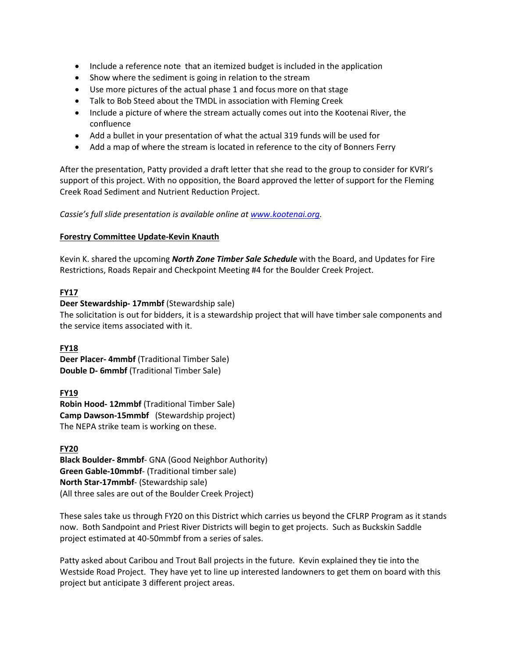- Include a reference note that an itemized budget is included in the application
- Show where the sediment is going in relation to the stream
- Use more pictures of the actual phase 1 and focus more on that stage
- Talk to Bob Steed about the TMDL in association with Fleming Creek
- Include a picture of where the stream actually comes out into the Kootenai River, the confluence
- Add a bullet in your presentation of what the actual 319 funds will be used for
- Add a map of where the stream is located in reference to the city of Bonners Ferry

After the presentation, Patty provided a draft letter that she read to the group to consider for KVRI's support of this project. With no opposition, the Board approved the letter of support for the Fleming Creek Road Sediment and Nutrient Reduction Project.

*Cassie's full slide presentation is available online a[t www.kootenai.org.](http://www.kootenai.org/)*

#### **Forestry Committee Update-Kevin Knauth**

Kevin K. shared the upcoming *North Zone Timber Sale Schedule* with the Board, and Updates for Fire Restrictions, Roads Repair and Checkpoint Meeting #4 for the Boulder Creek Project.

### **FY17**

#### **Deer Stewardship- 17mmbf** (Stewardship sale)

The solicitation is out for bidders, it is a stewardship project that will have timber sale components and the service items associated with it.

### **FY18**

**Deer Placer- 4mmbf** (Traditional Timber Sale) **Double D- 6mmbf** (Traditional Timber Sale)

### **FY19**

**Robin Hood- 12mmbf** (Traditional Timber Sale) **Camp Dawson-15mmbf** (Stewardship project) The NEPA strike team is working on these.

### **FY20**

**Black Boulder- 8mmbf**- GNA (Good Neighbor Authority) **Green Gable-10mmbf**- (Traditional timber sale) **North Star-17mmbf**- (Stewardship sale) (All three sales are out of the Boulder Creek Project)

These sales take us through FY20 on this District which carries us beyond the CFLRP Program as it stands now. Both Sandpoint and Priest River Districts will begin to get projects. Such as Buckskin Saddle project estimated at 40-50mmbf from a series of sales.

Patty asked about Caribou and Trout Ball projects in the future. Kevin explained they tie into the Westside Road Project. They have yet to line up interested landowners to get them on board with this project but anticipate 3 different project areas.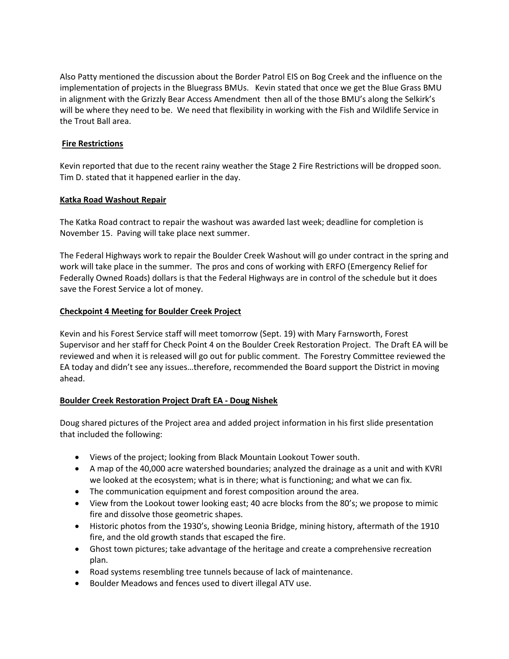Also Patty mentioned the discussion about the Border Patrol EIS on Bog Creek and the influence on the implementation of projects in the Bluegrass BMUs. Kevin stated that once we get the Blue Grass BMU in alignment with the Grizzly Bear Access Amendment then all of the those BMU's along the Selkirk's will be where they need to be. We need that flexibility in working with the Fish and Wildlife Service in the Trout Ball area.

### **Fire Restrictions**

Kevin reported that due to the recent rainy weather the Stage 2 Fire Restrictions will be dropped soon. Tim D. stated that it happened earlier in the day.

### **Katka Road Washout Repair**

The Katka Road contract to repair the washout was awarded last week; deadline for completion is November 15. Paving will take place next summer.

The Federal Highways work to repair the Boulder Creek Washout will go under contract in the spring and work will take place in the summer. The pros and cons of working with ERFO (Emergency Relief for Federally Owned Roads) dollars is that the Federal Highways are in control of the schedule but it does save the Forest Service a lot of money.

### **Checkpoint 4 Meeting for Boulder Creek Project**

Kevin and his Forest Service staff will meet tomorrow (Sept. 19) with Mary Farnsworth, Forest Supervisor and her staff for Check Point 4 on the Boulder Creek Restoration Project. The Draft EA will be reviewed and when it is released will go out for public comment. The Forestry Committee reviewed the EA today and didn't see any issues…therefore, recommended the Board support the District in moving ahead.

# **Boulder Creek Restoration Project Draft EA - Doug Nishek**

Doug shared pictures of the Project area and added project information in his first slide presentation that included the following:

- Views of the project; looking from Black Mountain Lookout Tower south.
- A map of the 40,000 acre watershed boundaries; analyzed the drainage as a unit and with KVRI we looked at the ecosystem; what is in there; what is functioning; and what we can fix.
- The communication equipment and forest composition around the area.
- View from the Lookout tower looking east; 40 acre blocks from the 80's; we propose to mimic fire and dissolve those geometric shapes.
- Historic photos from the 1930's, showing Leonia Bridge, mining history, aftermath of the 1910 fire, and the old growth stands that escaped the fire.
- Ghost town pictures; take advantage of the heritage and create a comprehensive recreation plan.
- Road systems resembling tree tunnels because of lack of maintenance.
- Boulder Meadows and fences used to divert illegal ATV use.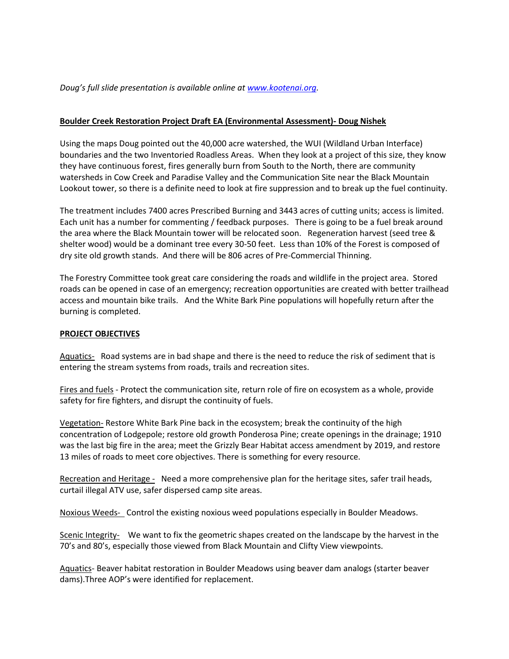### *Doug's full slide presentation is available online at [www.kootenai.org.](http://www.kootenai.org/)*

### **Boulder Creek Restoration Project Draft EA (Environmental Assessment)- Doug Nishek**

Using the maps Doug pointed out the 40,000 acre watershed, the WUI (Wildland Urban Interface) boundaries and the two Inventoried Roadless Areas. When they look at a project of this size, they know they have continuous forest, fires generally burn from South to the North, there are community watersheds in Cow Creek and Paradise Valley and the Communication Site near the Black Mountain Lookout tower, so there is a definite need to look at fire suppression and to break up the fuel continuity.

The treatment includes 7400 acres Prescribed Burning and 3443 acres of cutting units; access is limited. Each unit has a number for commenting / feedback purposes. There is going to be a fuel break around the area where the Black Mountain tower will be relocated soon. Regeneration harvest (seed tree & shelter wood) would be a dominant tree every 30-50 feet. Less than 10% of the Forest is composed of dry site old growth stands. And there will be 806 acres of Pre-Commercial Thinning.

The Forestry Committee took great care considering the roads and wildlife in the project area. Stored roads can be opened in case of an emergency; recreation opportunities are created with better trailhead access and mountain bike trails. And the White Bark Pine populations will hopefully return after the burning is completed.

### **PROJECT OBJECTIVES**

Aquatics- Road systems are in bad shape and there is the need to reduce the risk of sediment that is entering the stream systems from roads, trails and recreation sites.

Fires and fuels - Protect the communication site, return role of fire on ecosystem as a whole, provide safety for fire fighters, and disrupt the continuity of fuels.

Vegetation- Restore White Bark Pine back in the ecosystem; break the continuity of the high concentration of Lodgepole; restore old growth Ponderosa Pine; create openings in the drainage; 1910 was the last big fire in the area; meet the Grizzly Bear Habitat access amendment by 2019, and restore 13 miles of roads to meet core objectives. There is something for every resource.

Recreation and Heritage - Need a more comprehensive plan for the heritage sites, safer trail heads, curtail illegal ATV use, safer dispersed camp site areas.

Noxious Weeds- Control the existing noxious weed populations especially in Boulder Meadows.

Scenic Integrity- We want to fix the geometric shapes created on the landscape by the harvest in the 70's and 80's, especially those viewed from Black Mountain and Clifty View viewpoints.

Aquatics- Beaver habitat restoration in Boulder Meadows using beaver dam analogs (starter beaver dams).Three AOP's were identified for replacement.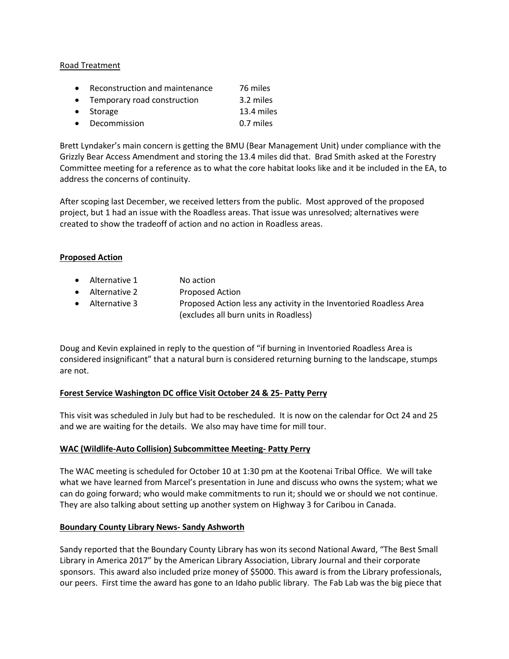#### Road Treatment

- Reconstruction and maintenance 76 miles
- Temporary road construction 3.2 miles
- Storage 13.4 miles Decommission 0.7 miles

Brett Lyndaker's main concern is getting the BMU (Bear Management Unit) under compliance with the Grizzly Bear Access Amendment and storing the 13.4 miles did that. Brad Smith asked at the Forestry Committee meeting for a reference as to what the core habitat looks like and it be included in the EA, to address the concerns of continuity.

After scoping last December, we received letters from the public. Most approved of the proposed project, but 1 had an issue with the Roadless areas. That issue was unresolved; alternatives were created to show the tradeoff of action and no action in Roadless areas.

### **Proposed Action**

- Alternative 1 No action
- Alternative 2 Proposed Action
- Alternative 3 Proposed Action less any activity in the Inventoried Roadless Area (excludes all burn units in Roadless)

Doug and Kevin explained in reply to the question of "if burning in Inventoried Roadless Area is considered insignificant" that a natural burn is considered returning burning to the landscape, stumps are not.

### **Forest Service Washington DC office Visit October 24 & 25- Patty Perry**

This visit was scheduled in July but had to be rescheduled. It is now on the calendar for Oct 24 and 25 and we are waiting for the details. We also may have time for mill tour.

### **WAC (Wildlife-Auto Collision) Subcommittee Meeting- Patty Perry**

The WAC meeting is scheduled for October 10 at 1:30 pm at the Kootenai Tribal Office. We will take what we have learned from Marcel's presentation in June and discuss who owns the system; what we can do going forward; who would make commitments to run it; should we or should we not continue. They are also talking about setting up another system on Highway 3 for Caribou in Canada.

### **Boundary County Library News- Sandy Ashworth**

Sandy reported that the Boundary County Library has won its second National Award, "The Best Small Library in America 2017" by the American Library Association, Library Journal and their corporate sponsors. This award also included prize money of \$5000. This award is from the Library professionals, our peers. First time the award has gone to an Idaho public library. The Fab Lab was the big piece that